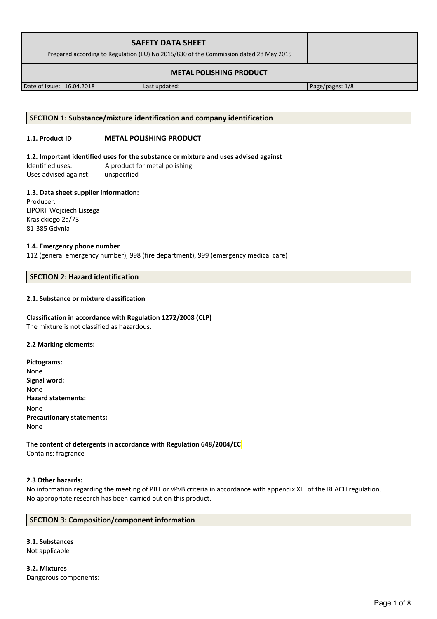| <b>SAFETY DATA SHEET</b><br>Prepared according to Regulation (EU) No 2015/830 of the Commission dated 28 May 2015 |               |                 |
|-------------------------------------------------------------------------------------------------------------------|---------------|-----------------|
|                                                                                                                   |               |                 |
| Date of issue: 16.04.2018                                                                                         | Last updated: | Page/pages: 1/8 |

## **SECTION 1: Substance/mixture identification and company identification**

## **1.1. Product ID METAL POLISHING PRODUCT**

**1.2. Important identified uses for the substance or mixture and uses advised against**

Identified uses: A product for metal polishing Uses advised against: unspecified

## **1.3. Data sheet supplier information:**

Producer: LIPORT Wojciech Liszega Krasickiego 2a/73 81-385 Gdynia

## **1.4. Emergency phone number**

112 (general emergency number), 998 (fire department), 999 (emergency medical care)

## **SECTION 2: Hazard identification**

## **2.1. Substance or mixture classification**

## **Classification in accordance with Regulation 1272/2008 (CLP)**

The mixture is not classified as hazardous.

## **2.2 Marking elements:**

**Pictograms:** None **Signal word:**  None **Hazard statements:** None **Precautionary statements:** None

**The content of detergents in accordance with Regulation 648/2004/EC** Contains: fragrance

## **2.3 Other hazards:**

No information regarding the meeting of PBT or vPvB criteria in accordance with appendix XIII of the REACH regulation. No appropriate research has been carried out on this product.

## **SECTION 3: Composition/component information**

**3.1. Substances** Not applicable

**3.2. Mixtures** Dangerous components: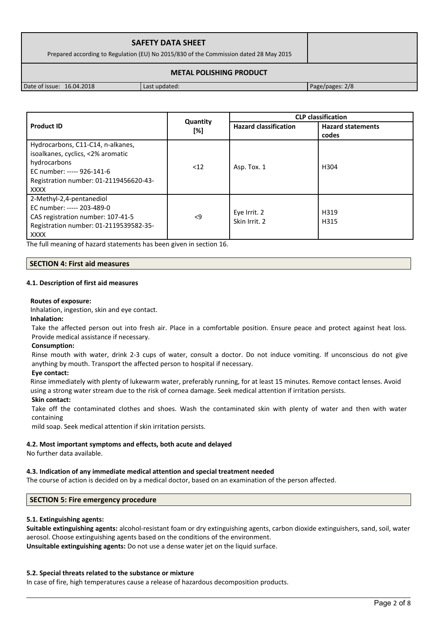| <b>SAFETY DATA SHEET</b><br>Prepared according to Regulation (EU) No 2015/830 of the Commission dated 28 May 2015 |  |
|-------------------------------------------------------------------------------------------------------------------|--|
| <b>METAL POLISHING PRODUCT</b>                                                                                    |  |

Date of issue: 16.04.2018 Last updated: Page/pages: 2/8

|                                                                                                                                                                               |                 | <b>CLP</b> classification     |                                   |  |
|-------------------------------------------------------------------------------------------------------------------------------------------------------------------------------|-----------------|-------------------------------|-----------------------------------|--|
| <b>Product ID</b>                                                                                                                                                             | Quantity<br>[%] | <b>Hazard classification</b>  | <b>Hazard statements</b><br>codes |  |
| Hydrocarbons, C11-C14, n-alkanes,<br>isoalkanes, cyclics, <2% aromatic<br>hydrocarbons<br>EC number: ----- 926-141-6<br>Registration number: 01-2119456620-43-<br><b>XXXX</b> | < 12            | Asp. Tox. 1                   | H <sub>304</sub>                  |  |
| 2-Methyl-2,4-pentanediol<br>EC number: ----- 203-489-0<br>CAS registration number: 107-41-5<br>Registration number: 01-2119539582-35-<br><b>XXXX</b>                          | $\leq$          | Eye Irrit. 2<br>Skin Irrit. 2 | H319<br>H315                      |  |

The full meaning of hazard statements has been given in section 16.

## **SECTION 4: First aid measures**

## **4.1. Description of first aid measures**

#### **Routes of exposure:**

Inhalation, ingestion, skin and eye contact.

**Inhalation:**

Take the affected person out into fresh air. Place in a comfortable position. Ensure peace and protect against heat loss. Provide medical assistance if necessary.

## **Consumption:**

Rinse mouth with water, drink 2-3 cups of water, consult a doctor. Do not induce vomiting. If unconscious do not give anything by mouth. Transport the affected person to hospital if necessary.

## **Eye contact:**

Rinse immediately with plenty of lukewarm water, preferably running, for at least 15 minutes. Remove contact lenses. Avoid using a strong water stream due to the risk of cornea damage. Seek medical attention if irritation persists.

#### **Skin contact:**

Take off the contaminated clothes and shoes. Wash the contaminated skin with plenty of water and then with water containing

mild soap. Seek medical attention if skin irritation persists.

## **4.2. Most important symptoms and effects, both acute and delayed**

No further data available.

## **4.3. Indication of any immediate medical attention and special treatment needed**

The course of action is decided on by a medical doctor, based on an examination of the person affected.

## **SECTION 5: Fire emergency procedure**

## **5.1. Extinguishing agents:**

**Suitable extinguishing agents:** alcohol-resistant foam or dry extinguishing agents, carbon dioxide extinguishers, sand, soil, water aerosol. Choose extinguishing agents based on the conditions of the environment. **Unsuitable extinguishing agents:** Do not use a dense water jet on the liquid surface.

## **5.2. Special threats related to the substance or mixture**

In case of fire, high temperatures cause a release of hazardous decomposition products.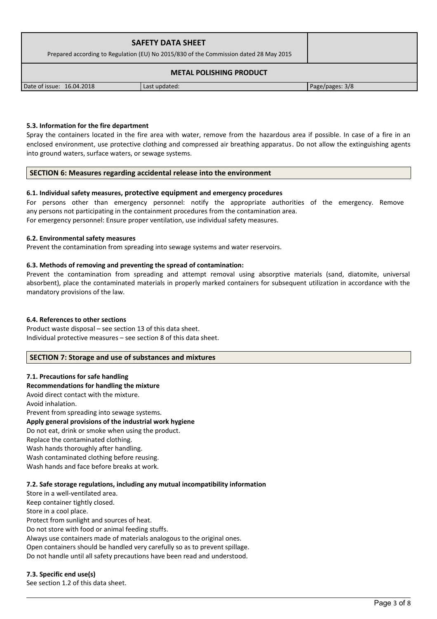| <b>SAFETY DATA SHEET</b><br>Prepared according to Regulation (EU) No 2015/830 of the Commission dated 28 May 2015 |               |                 |
|-------------------------------------------------------------------------------------------------------------------|---------------|-----------------|
|                                                                                                                   |               |                 |
| Date of issue: 16.04.2018                                                                                         | Last updated: | Page/pages: 3/8 |

## **5.3. Information for the fire department**

Spray the containers located in the fire area with water, remove from the hazardous area if possible. In case of a fire in an enclosed environment, use protective clothing and compressed air breathing apparatus. Do not allow the extinguishing agents into ground waters, surface waters, or sewage systems.

#### **SECTION 6: Measures regarding accidental release into the environment**

#### **6.1. Individual safety measures, protective equipment and emergency procedures**

For persons other than emergency personnel: notify the appropriate authorities of the emergency. Remove any persons not participating in the containment procedures from the contamination area. For emergency personnel: Ensure proper ventilation, use individual safety measures.

#### **6.2. Environmental safety measures**

Prevent the contamination from spreading into sewage systems and water reservoirs.

#### **6.3. Methods of removing and preventing the spread of contamination:**

Prevent the contamination from spreading and attempt removal using absorptive materials (sand, diatomite, universal absorbent), place the contaminated materials in properly marked containers for subsequent utilization in accordance with the mandatory provisions of the law.

#### **6.4. References to other sections**

Product waste disposal – see section 13 of this data sheet. Individual protective measures – see section 8 of this data sheet.

## **SECTION 7: Storage and use of substances and mixtures**

## **7.1. Precautions for safe handling**

**Recommendations for handling the mixture**  Avoid direct contact with the mixture. Avoid inhalation. Prevent from spreading into sewage systems. **Apply general provisions of the industrial work hygiene**  Do not eat, drink or smoke when using the product. Replace the contaminated clothing. Wash hands thoroughly after handling. Wash contaminated clothing before reusing. Wash hands and face before breaks at work.

#### **7.2. Safe storage regulations, including any mutual incompatibility information**

Store in a well-ventilated area. Keep container tightly closed. Store in a cool place. Protect from sunlight and sources of heat. Do not store with food or animal feeding stuffs. Always use containers made of materials analogous to the original ones. Open containers should be handled very carefully so as to prevent spillage. Do not handle until all safety precautions have been read and understood.

## **7.3. Specific end use(s)**

See section 1.2 of this data sheet.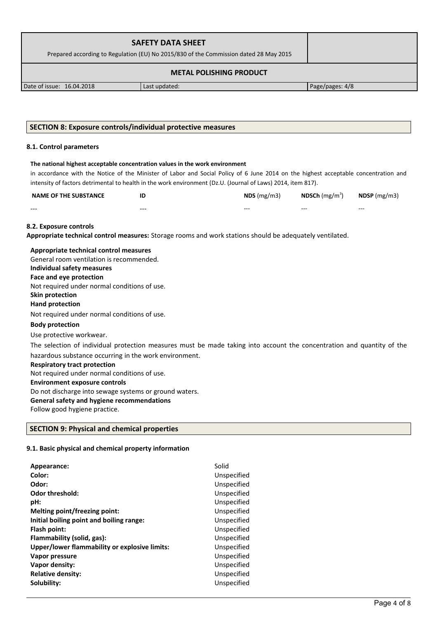| <b>SAFETY DATA SHEET</b><br>Prepared according to Regulation (EU) No 2015/830 of the Commission dated 28 May 2015 |               |                 |  |
|-------------------------------------------------------------------------------------------------------------------|---------------|-----------------|--|
| <b>METAL POLISHING PRODUCT</b>                                                                                    |               |                 |  |
| Date of issue: 16.04.2018                                                                                         | Last updated: | Page/pages: 4/8 |  |

## **SECTION 8: Exposure controls/individual protective measures**

#### **8.1. Control parameters**

#### **The national highest acceptable concentration values in the work environment**

in accordance with the Notice of the Minister of Labor and Social Policy of 6 June 2014 on the highest acceptable concentration and intensity of factors detrimental to health in the work environment (Dz.U. (Journal of Laws) 2014, item 817).

| <b>NAME OF THE SUBSTANCE</b> | ID    | $NDS$ (mg/m3) | <b>NDSCh</b> (mg/m <sup>3</sup> ) | $N$ DSP (mg/m3) |
|------------------------------|-------|---------------|-----------------------------------|-----------------|
| $- - -$                      | $---$ | $- - -$       | $- - -$                           | $- - -$         |

#### **8.2. Exposure controls**

**Appropriate technical control measures:** Storage rooms and work stations should be adequately ventilated.

## **Appropriate technical control measures** General room ventilation is recommended. **Individual safety measures Face and eye protection** Not required under normal conditions of use. **Skin protection Hand protection** Not required under normal conditions of use. **Body protection** Use protective workwear. The selection of individual protection measures must be made taking into account the concentration and quantity of the hazardous substance occurring in the work environment. **Respiratory tract protection** Not required under normal conditions of use. **Environment exposure controls**  Do not discharge into sewage systems or ground waters. **General safety and hygiene recommendations**

Follow good hygiene practice.

## **SECTION 9: Physical and chemical properties**

#### **9.1. Basic physical and chemical property information**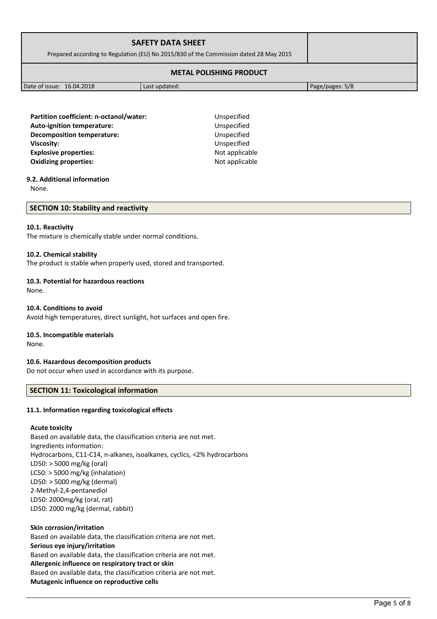| <b>SAFETY DATA SHEET</b><br>Prepared according to Regulation (EU) No 2015/830 of the Commission dated 28 May 2015 |  |
|-------------------------------------------------------------------------------------------------------------------|--|
| <b>METAL POLISHING PRODUCT</b>                                                                                    |  |

Date of issue: 16.04.2018 **Last updated:** Page/pages: 5/8

Partition coefficient: n-octanol/water: Unspecified **Auto-ignition temperature:** Unspecified **Decomposition temperature:** Unspecified **Viscosity:** Unspecified **Explosive properties:**  $\blacksquare$ **Oxidizing properties:** Not applicable

## **9.2. Additional information**

None.

#### **SECTION 10: Stability and reactivity**

### **10.1. Reactivity**

The mixture is chemically stable under normal conditions.

#### **10.2. Chemical stability**

The product is stable when properly used, stored and transported.

## **10.3. Potential for hazardous reactions**

None.

#### **10.4. Conditions to avoid**

Avoid high temperatures, direct sunlight, hot surfaces and open fire.

## **10.5. Incompatible materials**

None.

## **10.6. Hazardous decomposition products**

Do not occur when used in accordance with its purpose.

## **SECTION 11: Toxicological information**

#### **11.1. Information regarding toxicological effects**

#### **Acute toxicity**

Based on available data, the classification criteria are not met. Ingredients information: Hydrocarbons, C11-C14, n-alkanes, isoalkanes, cyclics, <2% hydrocarbons LD50: > 5000 mg/kg (oral) LC50: > 5000 mg/kg (inhalation) LD50: > 5000 mg/kg (dermal) 2-Methyl-2,4-pentanediol LD50: 2000mg/kg (oral, rat) LD50: 2000 mg/kg (dermal, rabbit)

**Skin corrosion/irritation** Based on available data, the classification criteria are not met. **Serious eye injury/irritation** Based on available data, the classification criteria are not met. **Allergenic influence on respiratory tract or skin** Based on available data, the classification criteria are not met. **Mutagenic influence on reproductive cells**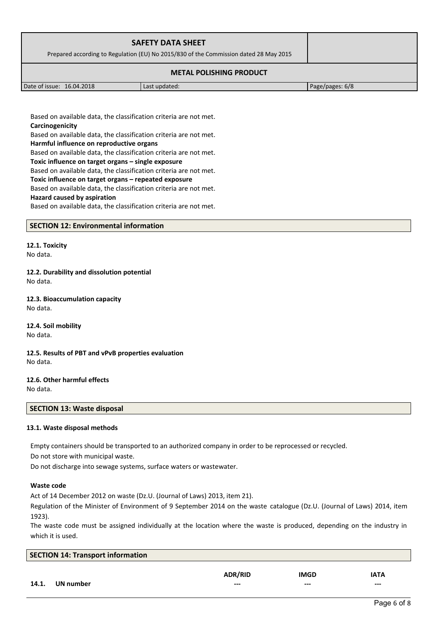| <b>SAFETY DATA SHEET</b>                                                              |               |                 |
|---------------------------------------------------------------------------------------|---------------|-----------------|
|                                                                                       |               |                 |
| Prepared according to Regulation (EU) No 2015/830 of the Commission dated 28 May 2015 |               |                 |
|                                                                                       |               |                 |
| Date of issue: 16.04.2018                                                             | Last updated: | Page/pages: 6/8 |

Based on available data, the classification criteria are not met. **Carcinogenicity**

Based on available data, the classification criteria are not met. **Harmful influence on reproductive organs**

Based on available data, the classification criteria are not met. **Toxic influence on target organs – single exposure**

Based on available data, the classification criteria are not met.

**Toxic influence on target organs – repeated exposure**

Based on available data, the classification criteria are not met.

**Hazard caused by aspiration**

Based on available data, the classification criteria are not met.

## **SECTION 12: Environmental information**

**12.1. Toxicity** No data.

**12.2. Durability and dissolution potential** No data.

**12.3. Bioaccumulation capacity** No data.

**12.4. Soil mobility** No data.

**12.5. Results of PBT and vPvB properties evaluation** No data.

**12.6. Other harmful effects** No data.

## **SECTION 13: Waste disposal**

## **13.1. Waste disposal methods**

Empty containers should be transported to an authorized company in order to be reprocessed or recycled.

Do not store with municipal waste.

Do not discharge into sewage systems, surface waters or wastewater.

## **Waste code**

Act of 14 December 2012 on waste (Dz.U. (Journal of Laws) 2013, item 21).

Regulation of the Minister of Environment of 9 September 2014 on the waste catalogue (Dz.U. (Journal of Laws) 2014, item 1923).

The waste code must be assigned individually at the location where the waste is produced, depending on the industry in which it is used.

| <b>SECTION 14: Transport information</b> |           |                |             |             |
|------------------------------------------|-----------|----------------|-------------|-------------|
|                                          |           | <b>ADR/RID</b> | <b>IMGD</b> | <b>IATA</b> |
| 14.1.                                    | UN number | $--$           | $--$        | $---$       |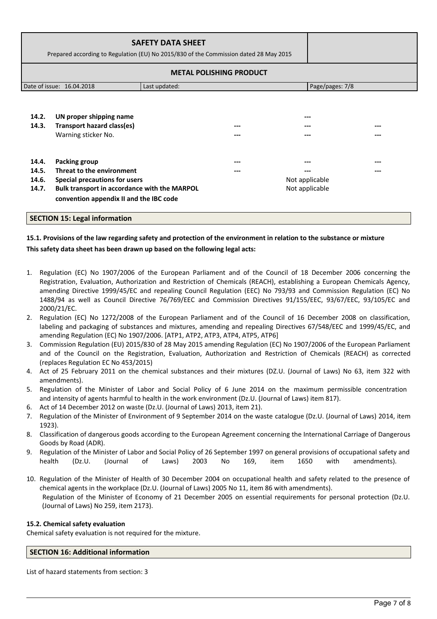|                | Prepared according to Regulation (EU) No 2015/830 of the Commission dated 28 May 2015                                    | <b>SAFETY DATA SHEET</b> | <b>METAL POLISHING PRODUCT</b> |                                  |  |
|----------------|--------------------------------------------------------------------------------------------------------------------------|--------------------------|--------------------------------|----------------------------------|--|
|                | Date of issue: 16.04.2018                                                                                                | Last updated:            |                                | Page/pages: 7/8                  |  |
| 14.2.<br>14.3. | UN proper shipping name<br>Transport hazard class(es)<br>Warning sticker No.                                             |                          |                                | ---                              |  |
| 14.4.<br>14.5. | <b>Packing group</b><br>Threat to the environment                                                                        |                          |                                |                                  |  |
| 14.6.<br>14.7. | Special precautions for users<br>Bulk transport in accordance with the MARPOL<br>convention appendix II and the IBC code |                          |                                | Not applicable<br>Not applicable |  |

## **15.1. Provisions of the law regarding safety and protection of the environment in relation to the substance or mixture This safety data sheet has been drawn up based on the following legal acts:**

- 1. Regulation (EC) No 1907/2006 of the European Parliament and of the Council of 18 December 2006 concerning the Registration, Evaluation, Authorization and Restriction of Chemicals (REACH), establishing a European Chemicals Agency, amending Directive 1999/45/EC and repealing Council Regulation (EEC) No 793/93 and Commission Regulation (EC) No 1488/94 as well as Council Directive 76/769/EEC and Commission Directives 91/155/EEC, 93/67/EEC, 93/105/EC and 2000/21/EC.
- 2. Regulation (EC) No 1272/2008 of the European Parliament and of the Council of 16 December 2008 on classification, labeling and packaging of substances and mixtures, amending and repealing Directives 67/548/EEC and 1999/45/EC, and amending Regulation (EC) No 1907/2006. [ATP1, ATP2, ATP3, ATP4, ATP5, ATP6]
- 3. Commission Regulation (EU) 2015/830 of 28 May 2015 amending Regulation (EC) No 1907/2006 of the European Parliament and of the Council on the Registration, Evaluation, Authorization and Restriction of Chemicals (REACH) as corrected (replaces Regulation EC No 453/2015)
- 4. Act of 25 February 2011 on the chemical substances and their mixtures (DZ.U. (Journal of Laws) No 63, item 322 with amendments).
- 5. Regulation of the Minister of Labor and Social Policy of 6 June 2014 on the maximum permissible concentration and intensity of agents harmful to health in the work environment (Dz.U. (Journal of Laws) item 817).
- 6. Act of 14 December 2012 on waste (Dz.U. (Journal of Laws) 2013, item 21).
- 7. Regulation of the Minister of Environment of 9 September 2014 on the waste catalogue (Dz.U. (Journal of Laws) 2014, item 1923).
- 8. Classification of dangerous goods according to the European Agreement concerning the International Carriage of Dangerous Goods by Road (ADR).
- 9. Regulation of the Minister of Labor and Social Policy of 26 September 1997 on general provisions of occupational safety and health (Dz.U. (Journal of Laws) 2003 No 169, item 1650 with amendments).
- 10. Regulation of the Minister of Health of 30 December 2004 on occupational health and safety related to the presence of chemical agents in the workplace (Dz.U. (Journal of Laws) 2005 No 11, item 86 with amendments). Regulation of the Minister of Economy of 21 December 2005 on essential requirements for personal protection (Dz.U. (Journal of Laws) No 259, item 2173).

## **15.2. Chemical safety evaluation**

Chemical safety evaluation is not required for the mixture.

## **SECTION 16: Additional information**

List of hazard statements from section: 3